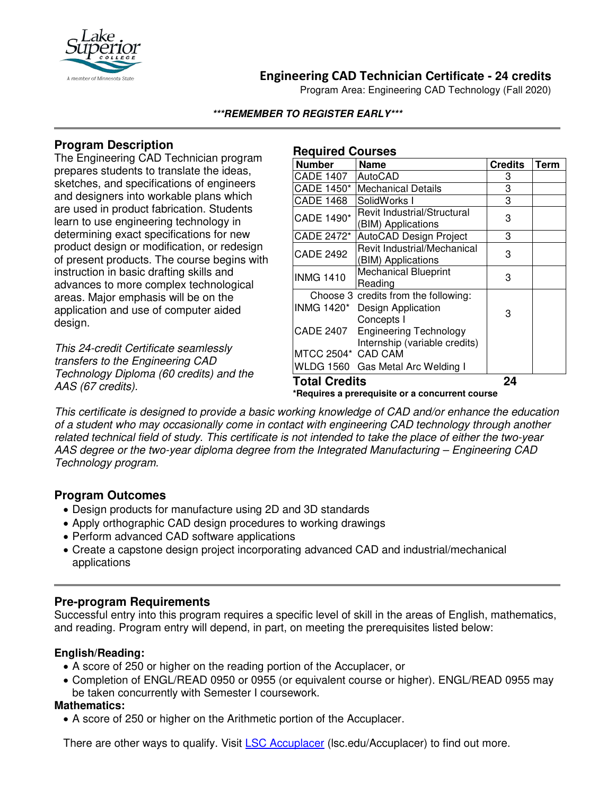

# **Engineering CAD Technician Certificate - 24 credits**

Program Area: Engineering CAD Technology (Fall 2020)

#### **\*\*\*REMEMBER TO REGISTER EARLY\*\*\***

## **Program Description**

The Engineering CAD Technician program prepares students to translate the ideas, sketches, and specifications of engineers and designers into workable plans which are used in product fabrication. Students learn to use engineering technology in determining exact specifications for new product design or modification, or redesign of present products. The course begins with instruction in basic drafting skills and advances to more complex technological areas. Major emphasis will be on the application and use of computer aided design.

*This 24-credit Certificate seamlessly transfers to the Engineering CAD Technology Diploma (60 credits) and the AAS (67 credits).*

#### **Required Courses**

| <b>Number</b>                                   | <b>Name</b>                                                    | <b>Credits</b> | <b>Term</b> |
|-------------------------------------------------|----------------------------------------------------------------|----------------|-------------|
| CADE 1407                                       | AutoCAD                                                        | 3              |             |
| CADE 1450*                                      | <b>Mechanical Details</b>                                      | 3              |             |
| <b>CADE 1468</b>                                | SolidWorks I                                                   | 3              |             |
| CADE 1490*                                      | Revit Industrial/Structural<br>(BIM) Applications              | 3              |             |
| CADE 2472*                                      | AutoCAD Design Project                                         | 3              |             |
| <b>CADE 2492</b>                                | Revit Industrial/Mechanical<br>(BIM) Applications              | 3              |             |
| <b>INMG 1410</b>                                | <b>Mechanical Blueprint</b><br>Reading                         | 3              |             |
|                                                 | Choose 3 credits from the following:                           |                |             |
|                                                 | INMG 1420* Design Application<br>Concepts I                    | 3              |             |
| <b>CADE 2407</b>                                | <b>Engineering Technology</b><br>Internship (variable credits) |                |             |
| MTCC 2504* CAD CAM                              |                                                                |                |             |
|                                                 | WLDG 1560 Gas Metal Arc Welding I                              |                |             |
| <b>Total Credits</b>                            |                                                                | 24             |             |
| *Requires a prerequisite or a concurrent course |                                                                |                |             |

*This certificate is designed to provide a basic working knowledge of CAD and/or enhance the education of a student who may occasionally come in contact with engineering CAD technology through another related technical field of study. This certificate is not intended to take the place of either the two-year AAS degree or the two-year diploma degree from the Integrated Manufacturing – Engineering CAD Technology program.*

### **Program Outcomes**

- Design products for manufacture using 2D and 3D standards
- Apply orthographic CAD design procedures to working drawings
- Perform advanced CAD software applications
- Create a capstone design project incorporating advanced CAD and industrial/mechanical applications

### **Pre-program Requirements**

Successful entry into this program requires a specific level of skill in the areas of English, mathematics, and reading. Program entry will depend, in part, on meeting the prerequisites listed below:

#### **English/Reading:**

- A score of 250 or higher on the reading portion of the Accuplacer, or
- Completion of ENGL/READ 0950 or 0955 (or equivalent course or higher). ENGL/READ 0955 may be taken concurrently with Semester I coursework.

#### **Mathematics:**

• A score of 250 or higher on the Arithmetic portion of the Accuplacer.

There are other ways to qualify. Visit **[LSC Accuplacer](https://www.lsc.edu/accuplacer/)** (Isc.edu/Accuplacer) to find out more.